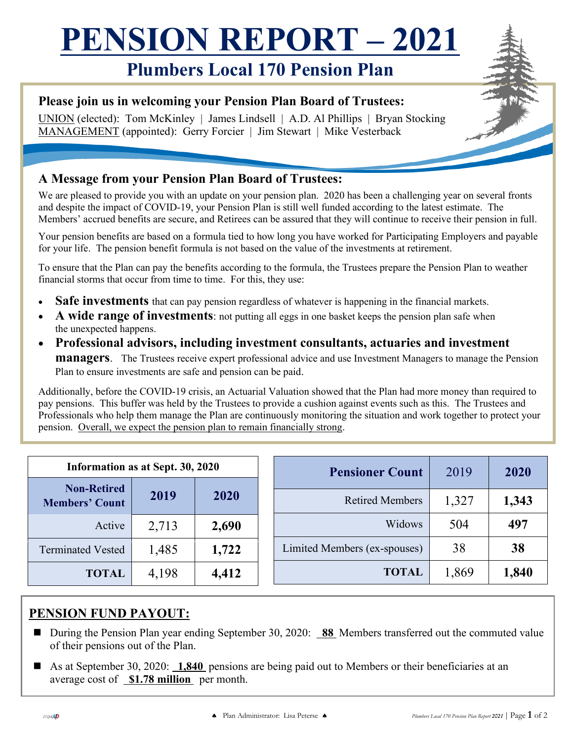## **PENSION REPORT – 2021**

## **Plumbers Local 170 Pension Plan**

#### **Please join us in welcoming your Pension Plan Board of Trustees:**

UNION (elected): Tom McKinley | James Lindsell | A.D. Al Phillips | Bryan Stocking MANAGEMENT (appointed): Gerry Forcier | Jim Stewart | Mike Vesterback

#### **A Message from your Pension Plan Board of Trustees:**

We are pleased to provide you with an update on your pension plan. 2020 has been a challenging year on several fronts and despite the impact of COVID-19, your Pension Plan is still well funded according to the latest estimate. The Members' accrued benefits are secure, and Retirees can be assured that they will continue to receive their pension in full.

Your pension benefits are based on a formula tied to how long you have worked for Participating Employers and payable for your life. The pension benefit formula is not based on the value of the investments at retirement.

To ensure that the Plan can pay the benefits according to the formula, the Trustees prepare the Pension Plan to weather financial storms that occur from time to time. For this, they use:

- **Safe investments** that can pay pension regardless of whatever is happening in the financial markets.
- **A wide range of investments**: not putting all eggs in one basket keeps the pension plan safe when the unexpected happens.
- **Professional advisors, including investment consultants, actuaries and investment managers**. The Trustees receive expert professional advice and use Investment Managers to manage the Pension Plan to ensure investments are safe and pension can be paid.

Additionally, before the COVID-19 crisis, an Actuarial Valuation showed that the Plan had more money than required to pay pensions. This buffer was held by the Trustees to provide a cushion against events such as this. The Trustees and Professionals who help them manage the Plan are continuously monitoring the situation and work together to protect your pension. Overall, we expect the pension plan to remain financially strong.

| Information as at Sept. 30, 2020            |       |       |  | <b>Pensioner Count</b>       | 2019  | 2020  |
|---------------------------------------------|-------|-------|--|------------------------------|-------|-------|
| <b>Non-Retired</b><br><b>Members' Count</b> | 2019  | 2020  |  | <b>Retired Members</b>       | 1,327 | 1,343 |
| Active                                      | 2,713 | 2,690 |  | Widows                       | 504   | 497   |
| <b>Terminated Vested</b>                    | 1,485 | 1,722 |  | Limited Members (ex-spouses) | 38    | 38    |
| <b>TOTAL</b>                                | 4,198 | 4,412 |  | <b>TOTAL</b>                 | 1,869 | 1,840 |

#### **PENSION FUND PAYOUT:**

- During the Pension Plan year ending September 30, 2020: 88 Members transferred out the commuted value of their pensions out of the Plan.
- As at September 30, 2020: **1,840** pensions are being paid out to Members or their beneficiaries at an average cost of **\$1.78 million** per month.